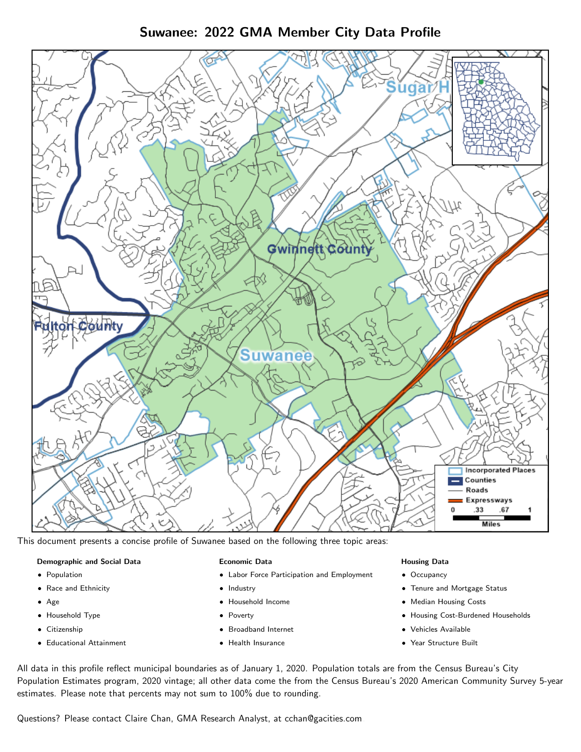# Suwanee: 2022 GMA Member City Data Profile



This document presents a concise profile of Suwanee based on the following three topic areas:

## Demographic and Social Data

- **•** Population
- Race and Ethnicity
- Age
- Household Type
- **Citizenship**
- Educational Attainment

## Economic Data

- Labor Force Participation and Employment
- Industry
- Household Income
- Poverty
- Broadband Internet
- Health Insurance

## Housing Data

- Occupancy
- Tenure and Mortgage Status
- Median Housing Costs
- Housing Cost-Burdened Households
- Vehicles Available
- Year Structure Built

All data in this profile reflect municipal boundaries as of January 1, 2020. Population totals are from the Census Bureau's City Population Estimates program, 2020 vintage; all other data come the from the Census Bureau's 2020 American Community Survey 5-year estimates. Please note that percents may not sum to 100% due to rounding.

Questions? Please contact Claire Chan, GMA Research Analyst, at [cchan@gacities.com.](mailto:cchan@gacities.com)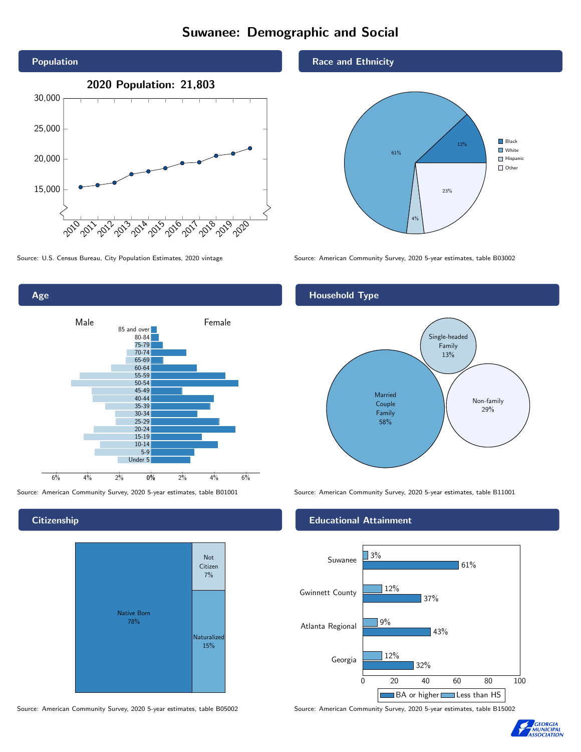# Suwanee: Demographic and Social





**Citizenship** 



Race and Ethnicity



Source: U.S. Census Bureau, City Population Estimates, 2020 vintage Source: American Community Survey, 2020 5-year estimates, table B03002

## Household Type



Source: American Community Survey, 2020 5-year estimates, table B01001 Source: American Community Survey, 2020 5-year estimates, table B11001

## Educational Attainment



Source: American Community Survey, 2020 5-year estimates, table B05002 Source: American Community Survey, 2020 5-year estimates, table B15002

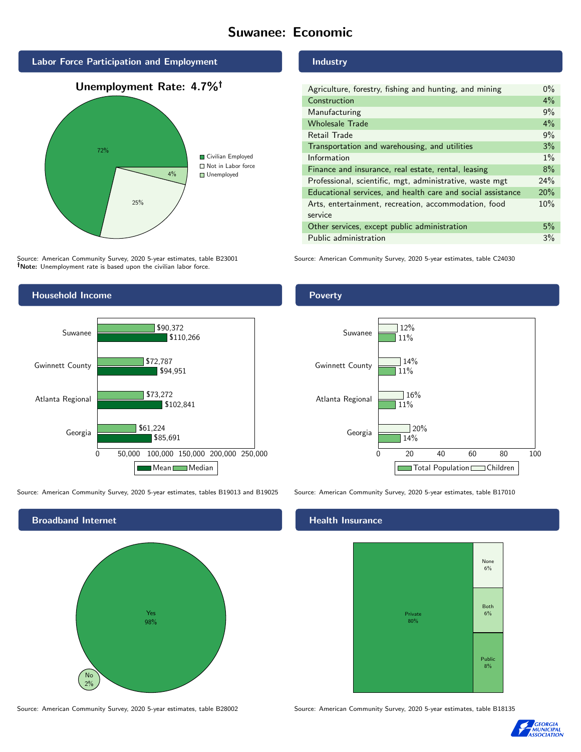## Suwanee: Economic



Source: American Community Survey, 2020 5-year estimates, table B23001 Note: Unemployment rate is based upon the civilian labor force.



Source: American Community Survey, 2020 5-year estimates, tables B19013 and B19025 Source: American Community Survey, 2020 5-year estimates, table B17010



#### Industry

| Agriculture, forestry, fishing and hunting, and mining      | $0\%$ |
|-------------------------------------------------------------|-------|
| Construction                                                | 4%    |
| Manufacturing                                               | 9%    |
| <b>Wholesale Trade</b>                                      | 4%    |
| Retail Trade                                                | 9%    |
| Transportation and warehousing, and utilities               | 3%    |
| Information                                                 | $1\%$ |
| Finance and insurance, real estate, rental, leasing         | 8%    |
| Professional, scientific, mgt, administrative, waste mgt    | 24%   |
| Educational services, and health care and social assistance | 20%   |
| Arts, entertainment, recreation, accommodation, food        | 10%   |
| service                                                     |       |
| Other services, except public administration                | 5%    |
| Public administration                                       | 3%    |

Source: American Community Survey, 2020 5-year estimates, table C24030

## Poverty



## Health Insurance



Source: American Community Survey, 2020 5-year estimates, table B28002 Source: American Community Survey, 2020 5-year estimates, table B18135